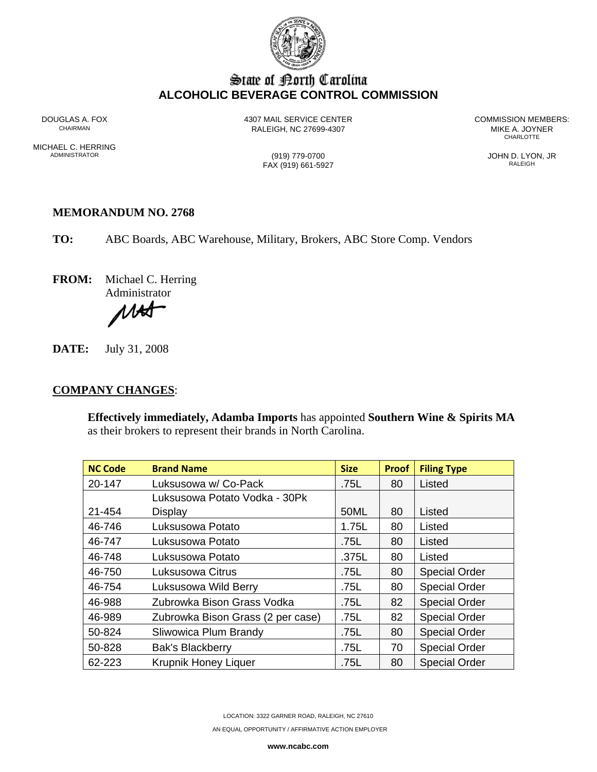

# State of Borth Carolina **ALCOHOLIC BEVERAGE CONTROL COMMISSION**

MICHAEL C. HERRING<br>ADMINISTRATOR

RALEIGH, NC 27699-4307 MIKE A. JOYNER AND RALEIGH, NC 27699-4307

DOUGLAS A. FOX 4307 MAIL SERVICE CENTER COMMISSION MEMBERS: **CHARLOTTE** 

FAX (919) 661-5927

(919) 779-0700<br>AN (919) 661-5927 JOHN D. LYON, JR

#### **MEMORANDUM NO. 2768**

**TO:** ABC Boards, ABC Warehouse, Military, Brokers, ABC Store Comp. Vendors

**FROM:** Michael C. Herring Administrator

**NAS** 

**DATE:** July 31, 2008

#### **COMPANY CHANGES**:

**Effectively immediately, Adamba Imports** has appointed **Southern Wine & Spirits MA**  as their brokers to represent their brands in North Carolina.

| <b>NC Code</b> | <b>Brand Name</b>                 | <b>Size</b> | <b>Proof</b> | <b>Filing Type</b>   |
|----------------|-----------------------------------|-------------|--------------|----------------------|
| 20-147         | Luksusowa w/ Co-Pack              | .75L        | 80           | Listed               |
|                | Luksusowa Potato Vodka - 30Pk     |             |              |                      |
| 21-454         | Display                           | 50ML        | 80           | Listed               |
| 46-746         | Luksusowa Potato                  | 1.75L       | 80           | Listed               |
| 46-747         | Luksusowa Potato                  | .75L        | 80           | Listed               |
| 46-748         | Luksusowa Potato                  | .375L       | 80           | Listed               |
| 46-750         | Luksusowa Citrus                  | .75L        | 80           | <b>Special Order</b> |
| 46-754         | Luksusowa Wild Berry              | .75L        | 80           | <b>Special Order</b> |
| 46-988         | Zubrowka Bison Grass Vodka        | .75L        | 82           | <b>Special Order</b> |
| 46-989         | Zubrowka Bison Grass (2 per case) | .75L        | 82           | <b>Special Order</b> |
| 50-824         | Sliwowica Plum Brandy             | .75L        | 80           | <b>Special Order</b> |
| 50-828         | <b>Bak's Blackberry</b>           | .75L        | 70           | <b>Special Order</b> |
| 62-223         | <b>Krupnik Honey Liquer</b>       | .75L        | 80           | <b>Special Order</b> |

LOCATION: 3322 GARNER ROAD, RALEIGH, NC 27610

AN EQUAL OPPORTUNITY / AFFIRMATIVE ACTION EMPLOYER

**www.ncabc.com**